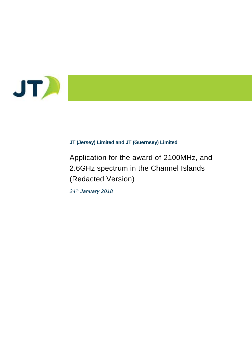

**JT (Jersey) Limited and JT (Guernsey) Limited**

Application for the award of 2100MHz, and 2.6GHz spectrum in the Channel Islands (Redacted Version)

*24th January 2018*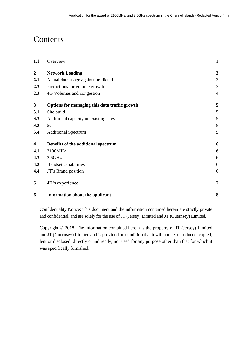# Contents

| 1.1          | Overview                                      | $\mathbf{1}$    |
|--------------|-----------------------------------------------|-----------------|
| $\mathbf{2}$ | <b>Network Loading</b>                        | 3               |
| 2.1          | Actual data usage against predicted           | 3               |
| 2.2          | Predictions for volume growth                 | 3               |
| 2.3          | 4G Volumes and congestion                     | $\overline{4}$  |
| 3            | Options for managing this data traffic growth | 5               |
| 3.1          | Site build                                    | 5               |
| 3.2          | Additional capacity on existing sites         | 5               |
| 3.3          | 5G                                            | $\mathfrak{S}$  |
| 3.4          | <b>Additional Spectrum</b>                    | 5               |
| 4            | Benefits of the additional spectrum           | 6               |
| 4.1          | 2100MHz                                       | 6               |
| 4.2          | 2.6GHz                                        | 6               |
| 4.3          | Handset capabilities                          | 6               |
| 4.4          | JT's Brand position                           | 6               |
| 5            | JT's experience                               | $7\phantom{.0}$ |
| 6            | Information about the applicant               | 8               |

Confidentiality Notice: This document and the information contained herein are strictly private and confidential, and are solely for the use of JT (Jersey) Limited and JT (Guernsey) Limited.

Copyright © 2018. The information contained herein is the property of JT (Jersey) Limited and JT (Guernsey) Limited and is provided on condition that it will not be reproduced, copied, lent or disclosed, directly or indirectly, nor used for any purpose other than that for which it was specifically furnished.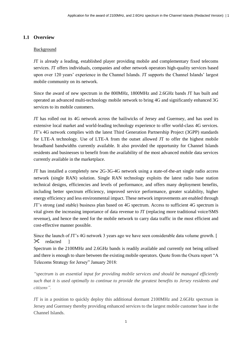#### <span id="page-2-0"></span>1.1 **Overview**

#### Background

JT is already a leading, established player providing mobile and complementary fixed telecoms services. JT offers individuals, companies and other network operators high-quality services based upon over 120 years' experience in the Channel Islands. JT supports the Channel Islands' largest mobile community on its network.

Since the award of new spectrum in the 800MHz, 1800MHz and 2.6GHz bands JT has built and operated an advanced multi-technology mobile network to bring 4G and significantly enhanced 3G services to its mobile customers.

JT has rolled out its 4G network across the bailiwicks of Jersey and Guernsey, and has used its extensive local market and world-leading technology experience to offer world-class 4G services. JT's 4G network complies with the latest Third Generation Partnership Project (3GPP) standards for LTE-A technology. Use of LTE-A from the outset allowed JT to offer the highest mobile broadband bandwidths currently available. It also provided the opportunity for Channel Islands residents and businesses to benefit from the availability of the most advanced mobile data services currently available in the marketplace.

JT has installed a completely new 2G-3G-4G network using a state-of-the-art single radio access network (single RAN) solution. Single RAN technology exploits the latest radio base station technical designs, efficiencies and levels of performance, and offers many deployment benefits, including better spectrum efficiency, improved service performance, greater scalability, higher energy efficiency and less environmental impact. These network improvements are enabled through JT's strong (and stable) business plan based on 4G spectrum. Access to sufficient 4G spectrum is vital given the increasing importance of data revenue to JT (replacing more traditional voice/SMS revenue), and hence the need for the mobile network to carry data traffic in the most efficient and cost-effective manner possible.

Since the launch of JT's 4G network 3 years ago we have seen considerable data volume growth. [ redacted ]

Spectrum in the 2100MHz and 2.6GHz bands is readily available and currently not being utilised and there is enough to share between the existing mobile operators. Quote from the Oxera report "A Telecoms Strategy for Jersey" January 2018:

*"spectrum is an essential input for providing mobile services and should be managed efficiently such that it is used optimally to continue to provide the greatest benefits to Jersey residents and citizens".*

JT is in a position to quickly deploy this additional dormant 2100MHz and 2.6GHz spectrum in Jersey and Guernsey thereby providing enhanced services to the largest mobile customer base in the Channel Islands.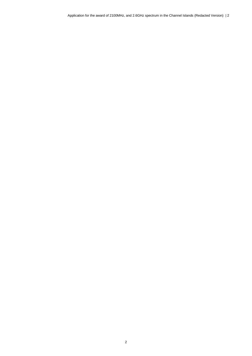Application for the award of 2100MHz, and 2.6GHz spectrum in the Channel Islands (Redacted Version) | 2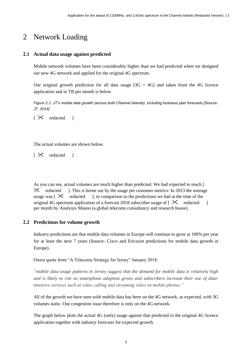## <span id="page-4-0"></span>2 Network Loading

#### <span id="page-4-1"></span>2.1 **Actual data usage against predicted**

Mobile network volumes have been considerably higher than we had predicted when we designed our new 4G network and applied for the original 4G spectrum.

Our original growth prediction for all data usage  $(3G + 4G)$  and taken from the 4G licence application and in TB per month is below

*Figure 2.1: JT's mobile data growth (across both Channel Islands), including business plan forecasts [Source: JT, 2014]* 

[  $\times$  redacted ]

The actual volumes are shown below.

 $\lceil \times \rceil$  redacted  $\lceil \cdot \rceil$ 

As you can see, actual volumes are much higher than predicted. We had expected to reach [ redacted ]. This is borne out by the usage per customer metrics: In 2013 the average usage was  $[\mathcal{K}]$  redacted ], in comparison to the predictions we had at the time of the original 4G spectrum application of a forecast 2018 subscriber usage of  $\mathcal{K}$  redacted  $\mathcal{K}$ per month by Analysys Mason (a global telecoms consultancy and research house).

#### <span id="page-4-2"></span>2.2 **Predictions for volume growth**

Industry predictions are that mobile data volumes in Europe will continue to grow at 100% per year for at least the next 7 years (Source- Cisco and Ericsson predictions for mobile data growth in Europe).

Oxera quote from "A Telecoms Strategy for Jersey" January 2018:

*"mobile data usage patterns in Jersey suggest that the demand for mobile data is relatively high and is likely to rise as smartphone adoption grows and subscribers increase their use of dataintensive services such as video calling and streaming video on mobile phones."*

All of the growth we have seen with mobile data has been on the 4G network, as expected, with 3G volumes static. Our congestion issue therefore is only on the 4G network.

The graph below plots the actual 4G (only) usage against that predicted in the original 4G licence application together with industry forecasts for expected growth.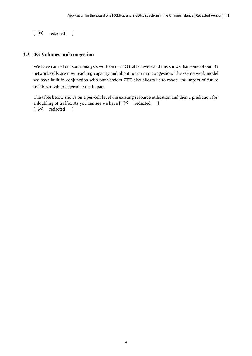[  $\times$  redacted ]

#### <span id="page-5-0"></span>2.3 **4G Volumes and congestion**

We have carried out some analysis work on our 4G traffic levels and this shows that some of our 4G network cells are now reaching capacity and about to run into congestion. The 4G network model we have built in conjunction with our vendors ZTE also allows us to model the impact of future traffic growth to determine the impact.

The table below shows on a per-cell level the existing resource utilisation and then a prediction for a doubling of traffic. As you can see we have  $[\<$  redacted  $]$ [  $\times$  redacted ]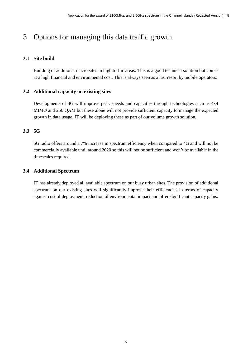# <span id="page-6-0"></span>3 Options for managing this data traffic growth

### <span id="page-6-1"></span>3.1 **Site build**

Building of additional macro sites in high traffic areas: This is a good technical solution but comes at a high financial and environmental cost. This is always seen as a last resort by mobile operators.

#### <span id="page-6-2"></span>3.2 **Additional capacity on existing sites**

Developments of 4G will improve peak speeds and capacities through technologies such as 4x4 MIMO and 256 QAM but these alone will not provide sufficient capacity to manage the expected growth in data usage. JT will be deploying these as part of our volume growth solution.

#### <span id="page-6-3"></span>3.3 **5G**

5G radio offers around a 7% increase in spectrum efficiency when compared to 4G and will not be commercially available until around 2020 so this will not be sufficient and won't be available in the timescales required.

#### <span id="page-6-4"></span>3.4 **Additional Spectrum**

JT has already deployed all available spectrum on our busy urban sites. The provision of additional spectrum on our existing sites will significantly improve their efficiencies in terms of capacity against cost of deployment, reduction of environmental impact and offer significant capacity gains.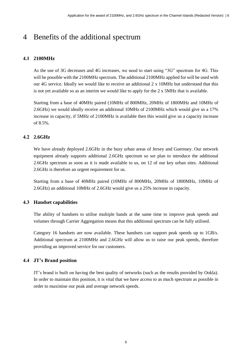## <span id="page-7-0"></span>4 Benefits of the additional spectrum

## <span id="page-7-1"></span>4.1 **2100MHz**

As the use of 3G decreases and 4G increases, we need to start using "3G" spectrum for 4G. This will be possible with the 2100MHz spectrum. The additional 2100MHz applied for will be used with our 4G service. Ideally we would like to receive an additional 2 x 10MHz but understand that this is not yet available so as an interim we would like to apply for the 2 x 5MHz that is available.

Starting from a base of 40MHz paired (10MHz of 800MHz, 20MHz of 1800MHz and 10MHz of 2.6GHz) we would ideally receive an additional 10MHz of 2100MHz which would give us a 17% increase in capacity, if 5MHz of 2100MHz is available then this would give us a capacity increase of 8.5%.

## <span id="page-7-2"></span>4.2 **2.6GHz**

We have already deployed 2.6GHz in the busy urban areas of Jersey and Guernsey. Our network equipment already supports additional 2.6GHz spectrum so we plan to introduce the additional 2.6GHz spectrum as soon as it is made available to us, on 12 of our key urban sites. Additional 2.6GHz is therefore an urgent requirement for us.

Starting from a base of 40MHz paired (10MHz of 800MHz, 20MHz of 1800MHz, 10MHz of 2.6GHz) an additional 10MHz of 2.6GHz would give us a 25% increase in capacity.

### <span id="page-7-3"></span>4.3 **Handset capabilities**

The ability of handsets to utilise multiple bands at the same time to improve peak speeds and volumes through Carrier Aggregation means that this additional spectrum can be fully utilised.

Category 16 handsets are now available. These handsets can support peak speeds up to 1GB/s. Additional spectrum at 2100MHz and 2.6GHz will allow us to raise our peak speeds, therefore providing an improved service for our customers.

### <span id="page-7-4"></span>4.4 **JT's Brand position**

JT's brand is built on having the best quality of networks (such as the results provided by Ookla). In order to maintain this position, it is vital that we have access to as much spectrum as possible in order to maximise our peak and average network speeds.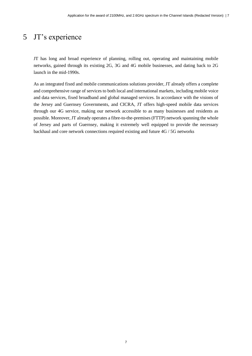# <span id="page-8-0"></span>5 JT's experience

JT has long and broad experience of planning, rolling out, operating and maintaining mobile networks, gained through its existing 2G, 3G and 4G mobile businesses, and dating back to 2G launch in the mid-1990s.

As an integrated fixed and mobile communications solutions provider, JT already offers a complete and comprehensive range of services to both local and international markets, including mobile voice and data services, fixed broadband and global managed services. In accordance with the visions of the Jersey and Guernsey Governments, and CICRA, JT offers high-speed mobile data services through our 4G service, making our network accessible to as many businesses and residents as possible. Moreover, JT already operates a fibre-to-the-premises (FTTP) network spanning the whole of Jersey and parts of Guernsey, making it extremely well equipped to provide the necessary backhaul and core network connections required existing and future 4G / 5G networks